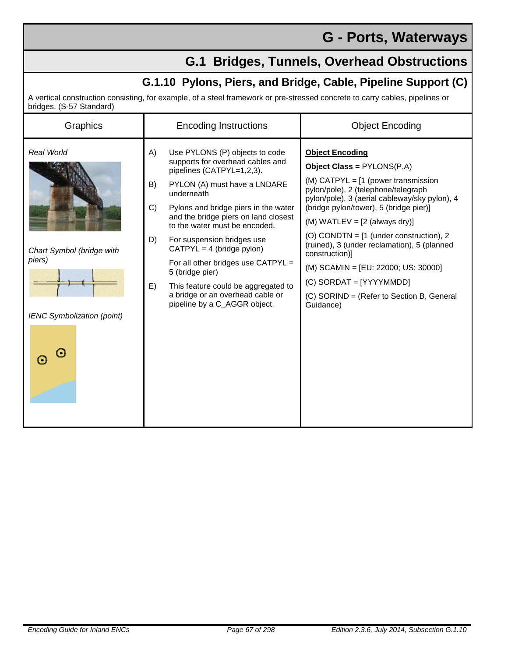## **G - Ports, Waterways**

## **G.1 Bridges, Tunnels, Overhead Obstructions**

## **G.1.10 Pylons, Piers, and Bridge, Cable, Pipeline Support (C)**

A vertical construction consisting, for example, of a steel framework or pre-stressed concrete to carry cables, pipelines or bridges. (S-57 Standard)

| Graphics                                                                                                                  | <b>Encoding Instructions</b>                                                                                                                                                                                                                                                                                                                                                                                                                                                                    | <b>Object Encoding</b>                                                                                                                                                                                                                                                                                                                                                                                                                                                                                           |
|---------------------------------------------------------------------------------------------------------------------------|-------------------------------------------------------------------------------------------------------------------------------------------------------------------------------------------------------------------------------------------------------------------------------------------------------------------------------------------------------------------------------------------------------------------------------------------------------------------------------------------------|------------------------------------------------------------------------------------------------------------------------------------------------------------------------------------------------------------------------------------------------------------------------------------------------------------------------------------------------------------------------------------------------------------------------------------------------------------------------------------------------------------------|
| Real World<br>A)<br>B)<br>C)<br>D)<br>Chart Symbol (bridge with<br>piers)<br>E)<br><b>IENC Symbolization (point)</b><br>Θ | Use PYLONS (P) objects to code<br>supports for overhead cables and<br>pipelines (CATPYL=1,2,3).<br>PYLON (A) must have a LNDARE<br>underneath<br>Pylons and bridge piers in the water<br>and the bridge piers on land closest<br>to the water must be encoded.<br>For suspension bridges use<br>$CATPYL = 4$ (bridge pylon)<br>For all other bridges use CATPYL =<br>5 (bridge pier)<br>This feature could be aggregated to<br>a bridge or an overhead cable or<br>pipeline by a C_AGGR object. | <b>Object Encoding</b><br>Object Class = $PYLONS(P,A)$<br>$(M)$ CATPYL = $[1$ (power transmission<br>pylon/pole), 2 (telephone/telegraph<br>pylon/pole), 3 (aerial cableway/sky pylon), 4<br>(bridge pylon/tower), 5 (bridge pier)]<br>$(M)$ WATLEV = [2 (always dry)]<br>(O) CONDTN = $[1$ (under construction), 2<br>(ruined), 3 (under reclamation), 5 (planned<br>construction)]<br>(M) SCAMIN = [EU: 22000; US: 30000]<br>(C) SORDAT = [YYYYMMDD]<br>(C) SORIND = (Refer to Section B, General<br>Guidance) |